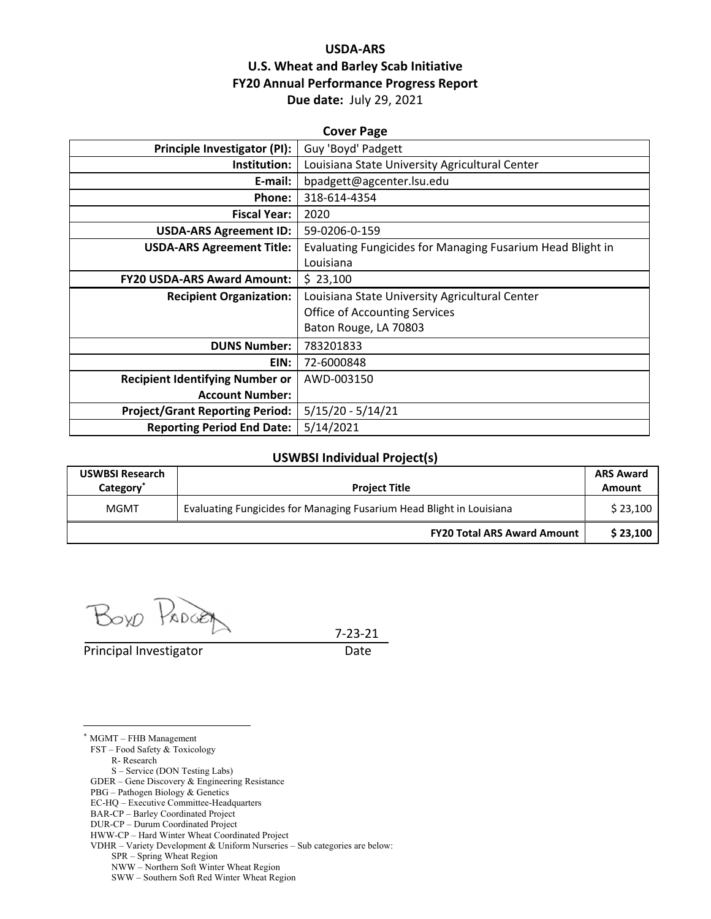## **USDA‐ARS U.S. Wheat and Barley Scab Initiative FY20 Annual Performance Progress Report Due date:** July 29, 2021

| <b>Cover Page</b>                      |                                                            |  |  |  |
|----------------------------------------|------------------------------------------------------------|--|--|--|
| Principle Investigator (PI):           | Guy 'Boyd' Padgett                                         |  |  |  |
| Institution:                           | Louisiana State University Agricultural Center             |  |  |  |
| E-mail:                                | bpadgett@agcenter.lsu.edu                                  |  |  |  |
| Phone:                                 | 318-614-4354                                               |  |  |  |
| <b>Fiscal Year:</b>                    | 2020                                                       |  |  |  |
| <b>USDA-ARS Agreement ID:</b>          | 59-0206-0-159                                              |  |  |  |
| <b>USDA-ARS Agreement Title:</b>       | Evaluating Fungicides for Managing Fusarium Head Blight in |  |  |  |
|                                        | Louisiana                                                  |  |  |  |
| <b>FY20 USDA-ARS Award Amount:</b>     | \$23,100                                                   |  |  |  |
| <b>Recipient Organization:</b>         | Louisiana State University Agricultural Center             |  |  |  |
|                                        | <b>Office of Accounting Services</b>                       |  |  |  |
|                                        | Baton Rouge, LA 70803                                      |  |  |  |
| <b>DUNS Number:</b>                    | 783201833                                                  |  |  |  |
| EIN:                                   | 72-6000848                                                 |  |  |  |
| <b>Recipient Identifying Number or</b> | AWD-003150                                                 |  |  |  |
| <b>Account Number:</b>                 |                                                            |  |  |  |
| <b>Project/Grant Reporting Period:</b> | $5/15/20 - 5/14/21$                                        |  |  |  |
| <b>Reporting Period End Date:</b>      | 5/14/2021                                                  |  |  |  |

#### **USWBSI Individual Project(s)**

| <b>USWBSI Research</b><br>Category <sup>*</sup> | <b>Project Title</b>                                                 | <b>ARS Award</b><br>Amount |
|-------------------------------------------------|----------------------------------------------------------------------|----------------------------|
| MGMT                                            | Evaluating Fungicides for Managing Fusarium Head Blight in Louisiana |                            |
|                                                 | <b>FY20 Total ARS Award Amount</b>                                   | \$23,100                   |

Boxo PROGET

Principal Investigator **Date** 

 $\overline{a}$ 

7‐23‐21

\* MGMT – FHB Management FST – Food Safety & Toxicology R- Research S – Service (DON Testing Labs) GDER – Gene Discovery & Engineering Resistance PBG – Pathogen Biology & Genetics EC-HQ – Executive Committee-Headquarters BAR-CP – Barley Coordinated Project DUR-CP – Durum Coordinated Project HWW-CP – Hard Winter Wheat Coordinated Project VDHR – Variety Development & Uniform Nurseries – Sub categories are below: SPR – Spring Wheat Region

NWW – Northern Soft Winter Wheat Region

SWW – Southern Soft Red Winter Wheat Region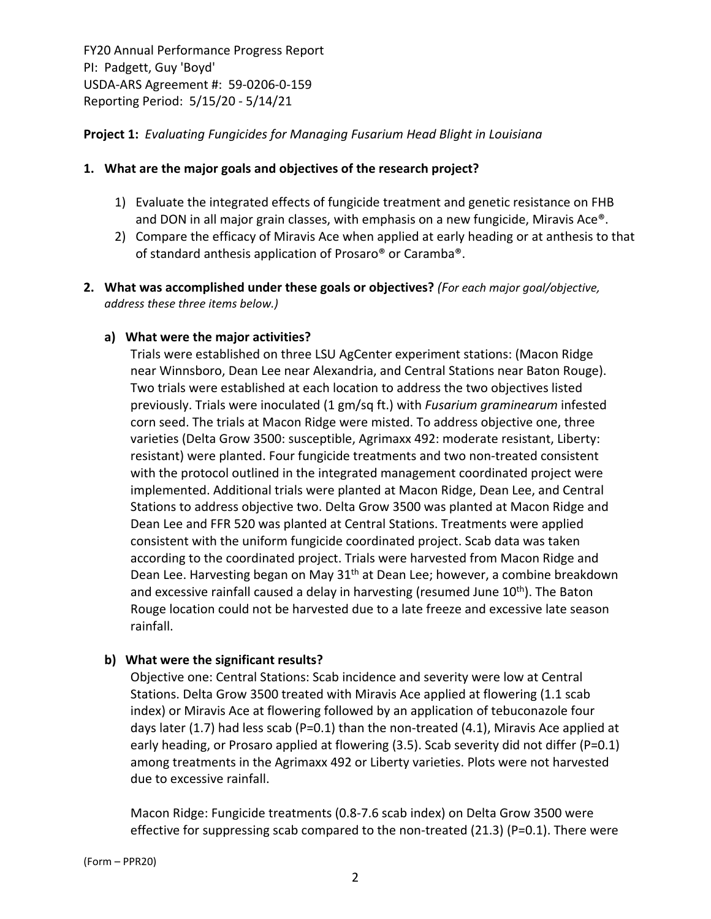### **Project 1:** *Evaluating Fungicides for Managing Fusarium Head Blight in Louisiana*

### **1. What are the major goals and objectives of the research project?**

- 1) Evaluate the integrated effects of fungicide treatment and genetic resistance on FHB and DON in all major grain classes, with emphasis on a new fungicide, Miravis Ace®.
- 2) Compare the efficacy of Miravis Ace when applied at early heading or at anthesis to that of standard anthesis application of Prosaro® or Caramba®.
- **2. What was accomplished under these goals or objectives?** *(For each major goal/objective, address these three items below.)*

#### **a) What were the major activities?**

Trials were established on three LSU AgCenter experiment stations: (Macon Ridge near Winnsboro, Dean Lee near Alexandria, and Central Stations near Baton Rouge). Two trials were established at each location to address the two objectives listed previously. Trials were inoculated (1 gm/sq ft.) with *Fusarium graminearum* infested corn seed. The trials at Macon Ridge were misted. To address objective one, three varieties (Delta Grow 3500: susceptible, Agrimaxx 492: moderate resistant, Liberty: resistant) were planted. Four fungicide treatments and two non-treated consistent with the protocol outlined in the integrated management coordinated project were implemented. Additional trials were planted at Macon Ridge, Dean Lee, and Central Stations to address objective two. Delta Grow 3500 was planted at Macon Ridge and Dean Lee and FFR 520 was planted at Central Stations. Treatments were applied consistent with the uniform fungicide coordinated project. Scab data was taken according to the coordinated project. Trials were harvested from Macon Ridge and Dean Lee. Harvesting began on May 31<sup>th</sup> at Dean Lee; however, a combine breakdown and excessive rainfall caused a delay in harvesting (resumed June  $10<sup>th</sup>$ ). The Baton Rouge location could not be harvested due to a late freeze and excessive late season rainfall.

#### **b) What were the significant results?**

Objective one: Central Stations: Scab incidence and severity were low at Central Stations. Delta Grow 3500 treated with Miravis Ace applied at flowering (1.1 scab index) or Miravis Ace at flowering followed by an application of tebuconazole four days later (1.7) had less scab (P=0.1) than the non-treated (4.1), Miravis Ace applied at early heading, or Prosaro applied at flowering (3.5). Scab severity did not differ (P=0.1) among treatments in the Agrimaxx 492 or Liberty varieties. Plots were not harvested due to excessive rainfall.

Macon Ridge: Fungicide treatments (0.8‐7.6 scab index) on Delta Grow 3500 were effective for suppressing scab compared to the non-treated  $(21.3)$  (P=0.1). There were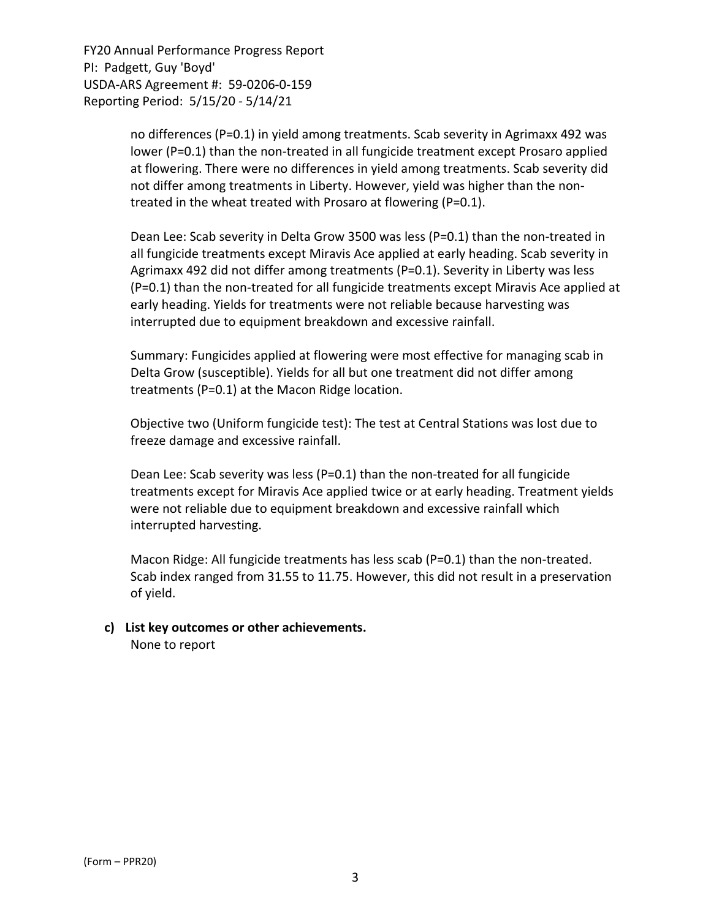> no differences (P=0.1) in yield among treatments. Scab severity in Agrimaxx 492 was lower (P=0.1) than the non-treated in all fungicide treatment except Prosaro applied at flowering. There were no differences in yield among treatments. Scab severity did not differ among treatments in Liberty. However, yield was higher than the non‐ treated in the wheat treated with Prosaro at flowering (P=0.1).

Dean Lee: Scab severity in Delta Grow 3500 was less (P=0.1) than the non-treated in all fungicide treatments except Miravis Ace applied at early heading. Scab severity in Agrimaxx 492 did not differ among treatments (P=0.1). Severity in Liberty was less (P=0.1) than the non‐treated for all fungicide treatments except Miravis Ace applied at early heading. Yields for treatments were not reliable because harvesting was interrupted due to equipment breakdown and excessive rainfall.

Summary: Fungicides applied at flowering were most effective for managing scab in Delta Grow (susceptible). Yields for all but one treatment did not differ among treatments (P=0.1) at the Macon Ridge location.

Objective two (Uniform fungicide test): The test at Central Stations was lost due to freeze damage and excessive rainfall.

Dean Lee: Scab severity was less (P=0.1) than the non-treated for all fungicide treatments except for Miravis Ace applied twice or at early heading. Treatment yields were not reliable due to equipment breakdown and excessive rainfall which interrupted harvesting.

Macon Ridge: All fungicide treatments has less scab ( $P=0.1$ ) than the non-treated. Scab index ranged from 31.55 to 11.75. However, this did not result in a preservation of yield.

**c) List key outcomes or other achievements.**  None to report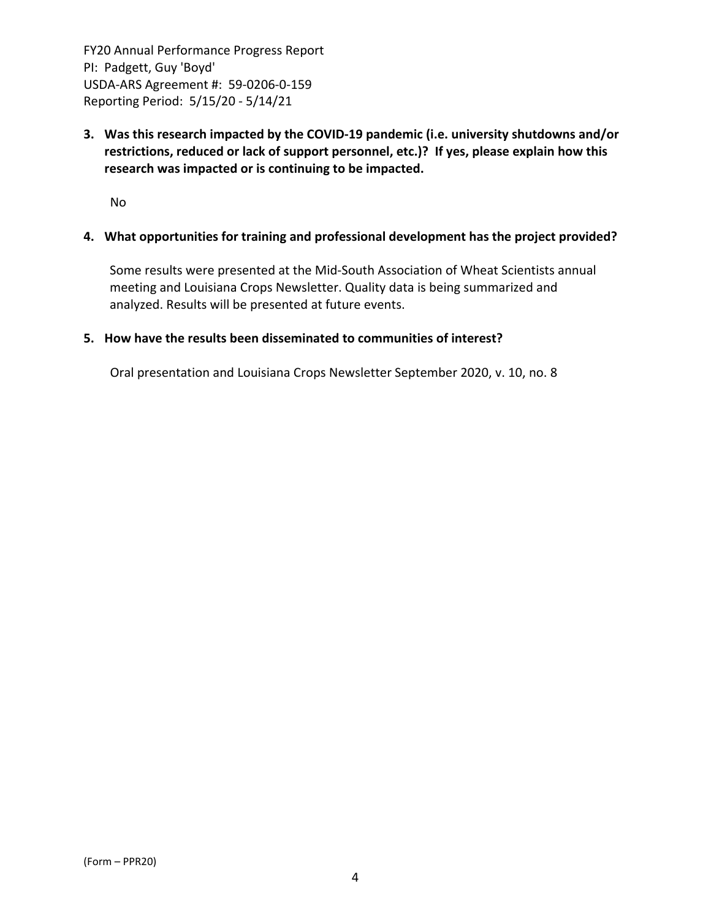**3. Was this research impacted by the COVID‐19 pandemic (i.e. university shutdowns and/or restrictions, reduced or lack of support personnel, etc.)? If yes, please explain how this research was impacted or is continuing to be impacted.**

No

### **4. What opportunities for training and professional development has the project provided?**

Some results were presented at the Mid‐South Association of Wheat Scientists annual meeting and Louisiana Crops Newsletter. Quality data is being summarized and analyzed. Results will be presented at future events.

#### **5. How have the results been disseminated to communities of interest?**

Oral presentation and Louisiana Crops Newsletter September 2020, v. 10, no. 8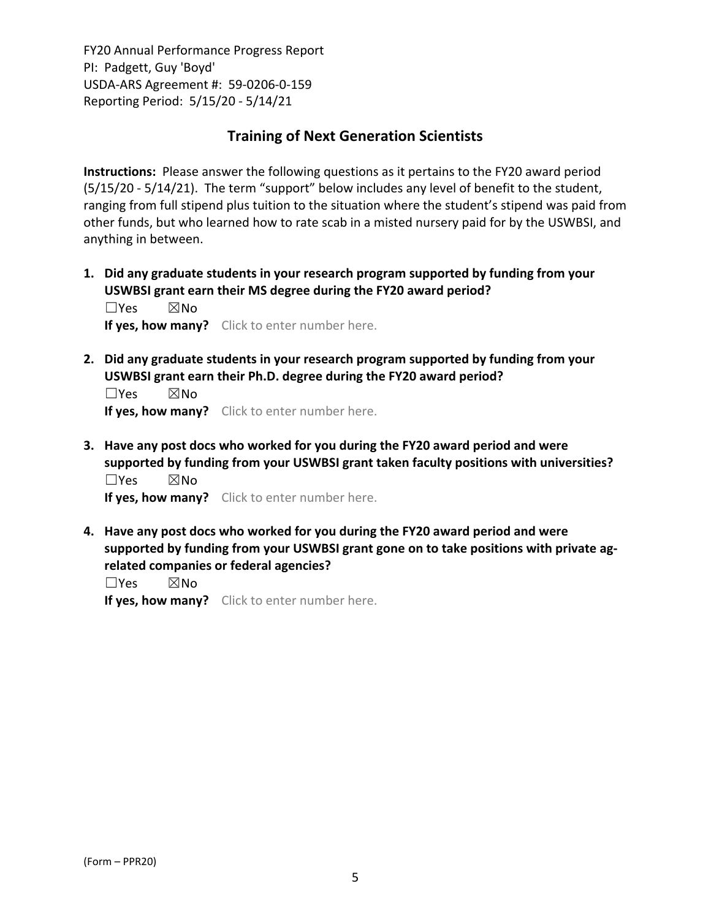## **Training of Next Generation Scientists**

**Instructions:** Please answer the following questions as it pertains to the FY20 award period (5/15/20 ‐ 5/14/21). The term "support" below includes any level of benefit to the student, ranging from full stipend plus tuition to the situation where the student's stipend was paid from other funds, but who learned how to rate scab in a misted nursery paid for by the USWBSI, and anything in between.

**1. Did any graduate students in your research program supported by funding from your USWBSI grant earn their MS degree during the FY20 award period?** ☐Yes ☒No

**If yes, how many?** Click to enter number here.

**2. Did any graduate students in your research program supported by funding from your USWBSI grant earn their Ph.D. degree during the FY20 award period?**

 $\square$ Yes  $\square$ No **If yes, how many?** Click to enter number here.

**3. Have any post docs who worked for you during the FY20 award period and were supported by funding from your USWBSI grant taken faculty positions with universities?** ☐Yes ☒No

**If yes, how many?** Click to enter number here.

**4. Have any post docs who worked for you during the FY20 award period and were supported by funding from your USWBSI grant gone on to take positions with private ag‐ related companies or federal agencies?**

☐Yes ☒No

**If yes, how many?** Click to enter number here.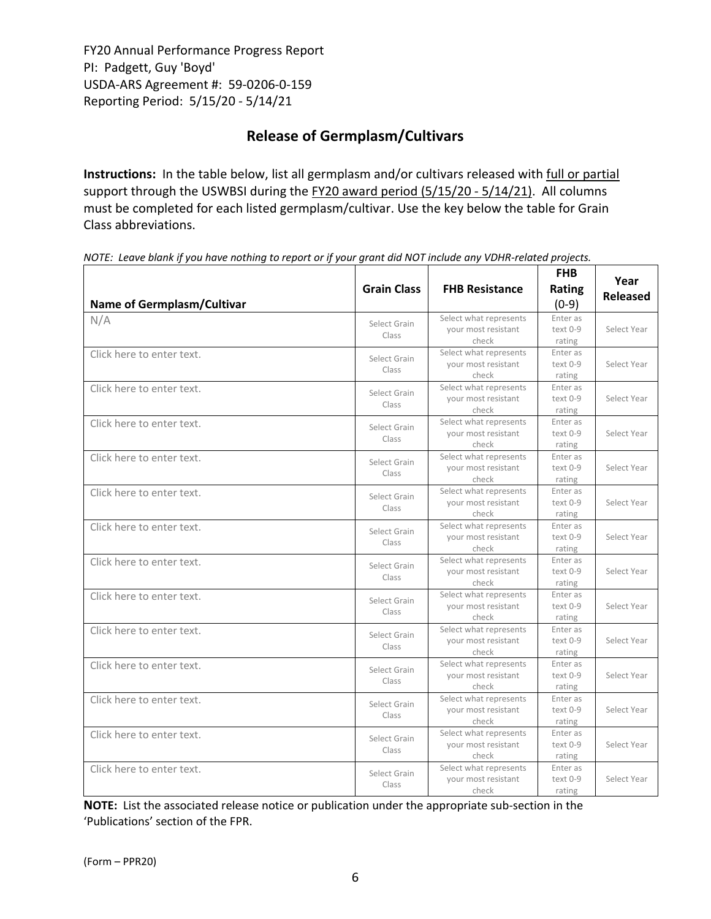# **Release of Germplasm/Cultivars**

**Instructions:** In the table below, list all germplasm and/or cultivars released with full or partial support through the USWBSI during the FY20 award period (5/15/20 - 5/14/21). All columns must be completed for each listed germplasm/cultivar. Use the key below the table for Grain Class abbreviations. 

| Name of Germplasm/Cultivar | <b>Grain Class</b>    | <b>FHB Resistance</b>                                  | <b>FHB</b><br>Rating<br>$(0-9)$  | Year<br><b>Released</b> |
|----------------------------|-----------------------|--------------------------------------------------------|----------------------------------|-------------------------|
| N/A                        | Select Grain<br>Class | Select what represents<br>your most resistant<br>check | Enter as<br>text 0-9<br>rating   | Select Year             |
| Click here to enter text.  | Select Grain<br>Class | Select what represents<br>your most resistant<br>check | Enter as<br>text 0-9<br>rating   | Select Year             |
| Click here to enter text.  | Select Grain<br>Class | Select what represents<br>your most resistant<br>check | Enter as<br>text 0-9<br>rating   | Select Year             |
| Click here to enter text.  | Select Grain<br>Class | Select what represents<br>your most resistant<br>check | Enter as<br>text 0-9<br>rating   | Select Year             |
| Click here to enter text.  | Select Grain<br>Class | Select what represents<br>your most resistant<br>check | Enter as<br>$text 0-9$<br>rating | Select Year             |
| Click here to enter text.  | Select Grain<br>Class | Select what represents<br>your most resistant<br>check | Enter as<br>text 0-9<br>rating   | Select Year             |
| Click here to enter text.  | Select Grain<br>Class | Select what represents<br>your most resistant<br>check | Enter as<br>text 0-9<br>rating   | Select Year             |
| Click here to enter text.  | Select Grain<br>Class | Select what represents<br>your most resistant<br>check | Enter as<br>text 0-9<br>rating   | Select Year             |
| Click here to enter text.  | Select Grain<br>Class | Select what represents<br>your most resistant<br>check | Enter as<br>text 0-9<br>rating   | Select Year             |
| Click here to enter text.  | Select Grain<br>Class | Select what represents<br>your most resistant<br>check | Enter as<br>text 0-9<br>rating   | Select Year             |
| Click here to enter text.  | Select Grain<br>Class | Select what represents<br>your most resistant<br>check | Enter as<br>$text 0-9$<br>rating | Select Year             |
| Click here to enter text.  | Select Grain<br>Class | Select what represents<br>your most resistant<br>check | Enter as<br>text 0-9<br>rating   | Select Year             |
| Click here to enter text.  | Select Grain<br>Class | Select what represents<br>your most resistant<br>check | Enter as<br>text 0-9<br>rating   | Select Year             |
| Click here to enter text.  | Select Grain<br>Class | Select what represents<br>your most resistant<br>check | Enter as<br>text 0-9<br>rating   | Select Year             |

NOTE: Leave blank if you have nothing to report or if your grant did NOT include any VDHR-related projects.

**NOTE:** List the associated release notice or publication under the appropriate sub-section in the 'Publications' section of the FPR.